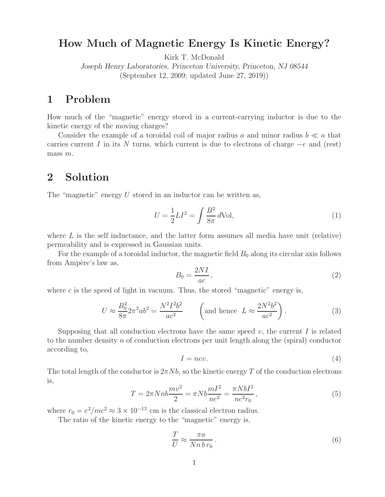# **How Much of Magnetic Energy Is Kinetic Energy?**

Kirk T. McDonald

*Joseph Henry Laboratories, Princeton University, Princeton, NJ 08544* (September 12, 2009; updated June 27, 2019))

How much of the "magnetic" energy stored in a current-carrying inductor is due to the kinetic energy of the moving charges?

Consider the example of a toroidal coil of major radius a and minor radius  $b \ll a$  that carries current I in its N turns, which current is due to electrons of charge  $-e$  and (rest) mass m.

### $\overline{2}$ **2 Solution**

The "magnetic" energy  $U$  stored in an inductor can be written as,

$$
U = \frac{1}{2}LI^2 = \int \frac{B^2}{8\pi} d\text{Vol},\tag{1}
$$

where  $L$  is the self inductance, and the latter form assumes all media have unit (relative) permeability and is expressed in Gaussian units.

For the example of a toroidal inductor, the magnetic field  $B_0$  along its circular axis follows from Ampère's law as,

$$
B_0 = \frac{2NI}{ac},\tag{2}
$$

where  $c$  is the speed of light in vacuum. Thus, the stored "magnetic" energy is,

$$
U \approx \frac{B_0^2}{8\pi} 2\pi^2 ab^2 = \frac{N^2 I^2 b^2}{ac^2} \qquad \left(\text{and hence } L \approx \frac{2N^2 b^2}{ac^2}\right). \tag{3}
$$

Supposing that all conduction electrons have the same speed  $v$ , the current I is related to the number density  $n$  of conduction electrons per unit length along the (spiral) conductor according to,

$$
I = nev.\t\t(4)
$$

The total length of the conductor is  $2\pi Nb$ , so the kinetic energy T of the conduction electrons is,

$$
T = 2\pi N n b \frac{m v^2}{2} = \pi N b \frac{m I^2}{n e^2} = \frac{\pi N b I^2}{n c^2 r_0},
$$
\n(5)

where  $r_0 = e^2/mc^2 \approx 3 \times 10^{-13}$  cm is the classical electron radius.

The ratio of the kinetic energy to the "magnetic" energy is,

$$
\frac{T}{U} \approx \frac{\pi a}{N n \, b \, r_0} \,. \tag{6}
$$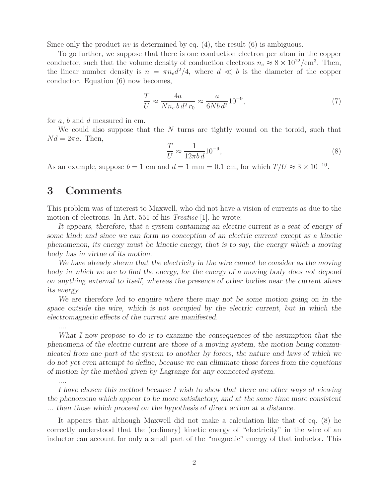Since only the product nv is determined by eq.  $(4)$ , the result  $(6)$  is ambiguous.

To go further, we suppose that there is one conduction electron per atom in the copper conductor, such that the volume density of conduction electrons  $n_e \approx 8 \times 10^{22}/\text{cm}^3$ . Then, the linear number density is  $n = \pi n_e d^2/4$ , where  $d \ll b$  is the diameter of the copper conductor. Equation (6) now becomes,

$$
\frac{T}{U} \approx \frac{4a}{N n_e b d^2 r_0} \approx \frac{a}{6N b d^2} 10^{-9},\tag{7}
$$

for a, b and d measured in cm.

We could also suppose that the N turns are tightly wound on the toroid, such that  $Nd = 2\pi a$ . Then,

$$
\frac{T}{U} \approx \frac{1}{12\pi b d} 10^{-9},\tag{8}
$$

As an example, suppose  $b = 1$  cm and  $d = 1$  mm = 0.1 cm, for which  $T/U \approx 3 \times 10^{-10}$ .

## **3 Comments**

This problem was of interest to Maxwell, who did not have a vision of currents as due to the motion of electrons. In Art. 551 of his *Treatise* [1], he wrote:

*It appears, therefore, that a system containing an electric current is a seat of energy of some kind; and since we can form no conception of an electric current except as a kinetic phenomenon, its energy must be kinetic energy, that is to say, the energy which a moving body has in virtue of its motion.*

*We have already shewn that the electricity in the wire cannot be consider as the moving body in which we are to find the energy, for the energy of a moving body does not depend on anything external to itself, whereas the presence of other bodies near the current alters its energy.*

*We are therefore led to enquire where there may not be some motion going on in the space outside the wire, which is not occupied by the electric current, but in which the electromagnetic effects of the current are manifested.*

*....*

*....*

*What I now propose to do is to examine the consequences of the assumption that the phenomena of the electric current are those of a moving system, the motion being communicated from one part of the system to another by forces, the nature and laws of which we do not yet even attempt to define, because we can eliminate those forces from the equations of motion by the method given by Lagrange for any connected system.*

*I have chosen this method because I wish to shew that there are other ways of viewing the phenomena which appear to be more satisfactory, and at the same time more consistent ... than those which proceed on the hypothesis of direct action at a distance.*

It appears that although Maxwell did not make a calculation like that of eq. (8) he correctly understood that the (ordinary) kinetic energy of "electricity" in the wire of an inductor can account for only a small part of the "magnetic" energy of that inductor. This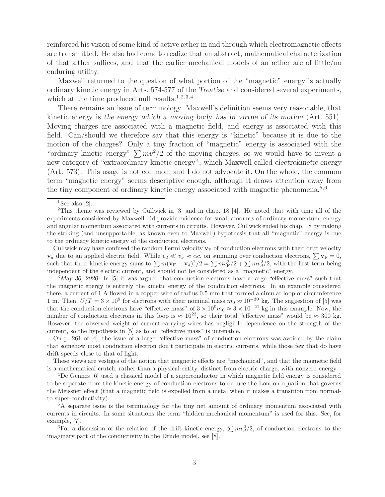reinforced his vision of some kind of active æther in and through which electromagnetic effects are transmitted. He also had come to realize that an abstract, mathematical characterization of that æther suffices, and that the earlier mechanical models of an æther are of little/no enduring utility.

Maxwell returned to the question of what portion of the "magnetic" energy is actually ordinary kinetic energy in Arts. 574-577 of the *Treatise* and considered several experiments, which at the time produced null results.<sup>1,2,3,4</sup>

There remains an issue of terminology. Maxwell's definition seems very reasonable, that kinetic energy is *the energy which a moving body has in virtue of its motion* (Art. 551). Moving charges are associated with a magnetic field, and energy is associated with this field. Can/should we therefore say that this energy is "kinetic" because it is due to the motion of the charges? Only a tiny fraction of "magnetic" energy is associated with the "ordinary kinetic energy"  $\sum mv^2/2$  of the moving charges, so we would have to invent a new category of "extraordinary kinetic energy", which Maxwell called *electrokinetic energy* (Art. 573). This usage is not common, and I do not advocate it. On the whole, the common term "magnetic energy" seems descriptive enough, although it draws attention away from the tiny component of ordinary kinetic energy associated with magnetic phenomena.<sup>5,6</sup>

Cullwick may have confused the random Fermi velocity  $\mathbf{v}_F$  of conduction electrons with their drift velocity  $\mathbf{v}_d$  due to an applied electric field. While  $v_d \ll v_F \approx \alpha c$ , on summing over conduction electrons,  $\sum \mathbf{v}_F = 0$ , such that their kinetic energy sums to  $\sum m(\mathbf{v}_F + \mathbf{v}_d)^2/2 = \sum mv_F^2/2 + \sum mv_d^2/2$ , with the first term being independent of the electric current, and should not be considered as a "magnetic" energy.

<sup>3</sup>*May 30, 2020*. In [5] it was argued that conduction electrons have a large "effective mass" such that the magnetic energy is entirely the kinetic energy of the conduction electrons. In an example considered there, a current of 1 A flowed in a copper wire of radius 0.5 mm that formed a circular loop of circumference 1 m. Then,  $U/T = 3 \times 10^9$  for electrons with their nominal mass  $m_0 \approx 10^{-30}$  kg. The suggestion of [5] was that the conduction electrons have "effective mass" of  $3 \times 10^9 m_0 \approx 3 \times 10^{-21}$  kg in this example. Now, the number of conduction electrons in this loop is  $\approx 10^{23}$ , so their total "effective mass" would be  $\approx 300$  kg. However, the observed weight of current-carrying wires has negligible dependence on the strength of the current, so the hypothesis in [5] as to an "effective mass" is untenable.

On p. 261 of [4], the issue of a large "effective mass" of conduction electrons was avoided by the claim that somehow most conduction electron don't participate in electric currents, while those few that do have drift speeds close to that of light.

These views are vestiges of the notion that magnetic effects are "mechanical", and that the magnetic field is a mathematical crutch, rather than a physical entity, distinct from electric charge, with nonzero energy.

<sup>4</sup>De Gennes [6] used a classical model of a superconductor in which magnetic field energy is considered to be separate from the kinetic energy of conduction electrons to deduce the London equation that governs the Meissner effect (that a magnetic field is expelled from a metal when it makes a transition from normalto super-conductivity).

<sup>5</sup>A separate issue is the terminology for the tiny net amount of ordinary momentum associated with currents in circuits. In some situations the term "hidden mechanical momentum" is used for this. See, for example, [7].

<sup>6</sup>For a discussion of the relation of the drift kinetic energy,  $\sum mv_d^2/2$ , of conduction electrons to the imaginary part of the conductivity in the Drude model, see [8].

<sup>&</sup>lt;sup>1</sup>See also [2].

<sup>2</sup>This theme was reviewed by Cullwick in [3] and in chap. 18 [4]. He noted that with time all of the experiments considered by Maxwell did provide evidence for small amounts of ordinary momentum, energy and angular momentum associated with currents in circuits. However, Cullwick ended his chap. 18 by making the striking (and unsupportable, as known even to Maxwell) hypothesis that all "magnetic" energy is due to the ordinary kinetic energy of the conduction electrons.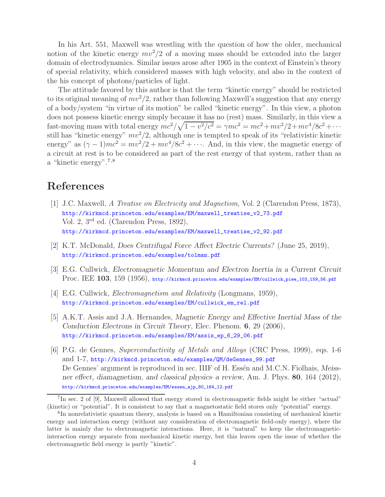In his Art. 551, Maxwell was wrestling with the question of how the older, mechanical notion of the kinetic energy  $mv^2/2$  of a moving mass should be extended into the larger domain of electrodynamics. Similar issues arose after 1905 in the context of Einstein's theory of special relativity, which considered masses with high velocity, and also in the context of the his concept of photons/particles of light.

The attitude favored by this author is that the term "kinetic energy" should be restricted to its original meaning of  $mv^2/2$ , rather than following Maxwell's suggestion that any energy of a body/system "in virtue of its motion" be called "kinetic energy". In this view, a photon does not possess kinetic energy simply because it has no (rest) mass. Similarly, in this view a fast-moving mass with total energy  $mc^2/\sqrt{1-v^2/c^2} = \gamma mc^2 = mc^2 + mv^2/2 + mv^4/8c^2 + \cdots$ still has "kinetic energy"  $mv^2/2$ , although one is tempted to speak of its "relativistic kinetic energy" as  $(\gamma - 1)mc^2 = mv^2/2 + mv^4/8c^2 + \cdots$ . And, in this view, the magnetic energy of a circuit at rest is to be considered as part of the rest energy of that system, rather than as a "kinetic energy".7,8

# **References**

- [1] J.C. Maxwell, *A Treatise on Electricity and Magnetism*, Vol. 2 (Clarendon Press, 1873), http://kirkmcd.princeton.edu/examples/EM/maxwell\_treatise\_v2\_73.pdf Vol. 2, 3rd ed. (Clarendon Press, 1892), http://kirkmcd.princeton.edu/examples/EM/maxwell\_treatise\_v2\_92.pdf
- [2] K.T. McDonald, *Does Centrifugal Force Affect Electric Currents?* (June 25, 2019), http://kirkmcd.princeton.edu/examples/tolman.pdf
- [3] E.G. Cullwick, *Electromagnetic Momentum and Electron Inertia in a Current Circuit* Proc. IEE **103**, 159 (1956), http://kirkmcd.princeton.edu/examples/EM/cullwick\_piee\_103\_159\_56.pdf
- [4] E.G. Cullwick, *Electromagnetism and Relativity* (Longmans, 1959), http://kirkmcd.princeton.edu/examples/EM/cullwick\_em\_rel.pdf
- [5] A.K.T. Assis and J.A. Hernandes, *Magnetic Energy and Effective Inertial Mass of the Conduction Electrons in Circuit Theory*, Elec. Phenom. **6**, 29 (2006), http://kirkmcd.princeton.edu/examples/EM/assis\_ep\_6\_29\_06.pdf
- [6] P.G. de Gennes, *Superconductivity of Metals and Alloys* (CRC Press, 1999), eqs. 1-6 and 1-7, http://kirkmcd.princeton.edu/examples/QM/deGennes\_99.pdf De Gennes' argument is reproduced in sec. IIIF of H. Essén and M.C.N. Fiolhais, *Meissner effect, diamagnetism, and classical physics–a review*, Am. J. Phys. **80**, 164 (2012), http://kirkmcd.princeton.edu/examples/EM/essen\_ajp\_80\_164\_12.pdf

<sup>7</sup>In sec. 2 of [9], Maxwell allowed that energy stored in electromagnetic fields might be either "actual" (kinetic) or "potential". It is consistent to say that a magnetostatic field stores only "potential" energy.

<sup>8</sup>In nonrelativistic quantum theory, analysis is based on a Hamiltonian consisting of mechanical kinetic energy and interaction energy (without any consideration of electromagnetic field-only energy), where the latter is mainly due to electromagnetic interactions. Here, it is "natural" to keep the electromagneticinteraction energy separate from mechanical kinetic energy, but this leaves open the issue of whether the electromagnetic field energy is partly "kinetic".